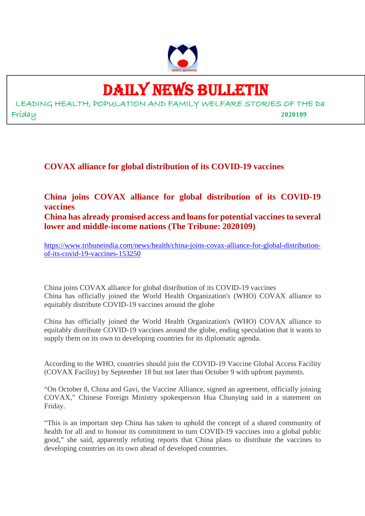

### DAILY NEWS BULLETIN

LEADING HEALTH, POPULATION AND FAMILY WELFARE STORIES OF THE Da Friday **2020109**

### **COVAX alliance for global distribution of its COVID-19 vaccines**

**China joins COVAX alliance for global distribution of its COVID-19 vaccines**

**China has already promised access and loans for potential vaccines to several lower and middle-income nations (The Tribune: 2020109)**

https://www.tribuneindia.com/news/health/china-joins-covax-alliance-for-global-distributionof-its-covid-19-vaccines-153250

China joins COVAX alliance for global distribution of its COVID-19 vaccines China has officially joined the World Health Organization's (WHO) COVAX alliance to equitably distribute COVID-19 vaccines around the globe

China has officially joined the World Health Organization's (WHO) COVAX alliance to equitably distribute COVID-19 vaccines around the globe, ending speculation that it wants to supply them on its own to developing countries for its diplomatic agenda.

According to the WHO, countries should join the COVID-19 Vaccine Global Access Facility (COVAX Facility) by September 18 but not later than October 9 with upfront payments.

"On October 8, China and Gavi, the Vaccine Alliance, signed an agreement, officially joining COVAX," Chinese Foreign Ministry spokesperson Hua Chunying said in a statement on Friday.

"This is an important step China has taken to uphold the concept of a shared community of health for all and to honour its commitment to turn COVID-19 vaccines into a global public good," she said, apparently refuting reports that China plans to distribute the vaccines to developing countries on its own ahead of developed countries.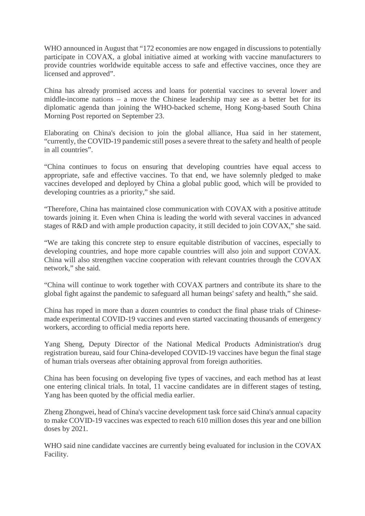WHO announced in August that "172 economies are now engaged in discussions to potentially participate in COVAX, a global initiative aimed at working with vaccine manufacturers to provide countries worldwide equitable access to safe and effective vaccines, once they are licensed and approved".

China has already promised access and loans for potential vaccines to several lower and middle-income nations – a move the Chinese leadership may see as a better bet for its diplomatic agenda than joining the WHO-backed scheme, Hong Kong-based South China Morning Post reported on September 23.

Elaborating on China's decision to join the global alliance, Hua said in her statement, "currently, the COVID-19 pandemic still poses a severe threat to the safety and health of people in all countries".

"China continues to focus on ensuring that developing countries have equal access to appropriate, safe and effective vaccines. To that end, we have solemnly pledged to make vaccines developed and deployed by China a global public good, which will be provided to developing countries as a priority," she said.

"Therefore, China has maintained close communication with COVAX with a positive attitude towards joining it. Even when China is leading the world with several vaccines in advanced stages of R&D and with ample production capacity, it still decided to join COVAX," she said.

"We are taking this concrete step to ensure equitable distribution of vaccines, especially to developing countries, and hope more capable countries will also join and support COVAX. China will also strengthen vaccine cooperation with relevant countries through the COVAX network," she said.

"China will continue to work together with COVAX partners and contribute its share to the global fight against the pandemic to safeguard all human beings' safety and health," she said.

China has roped in more than a dozen countries to conduct the final phase trials of Chinesemade experimental COVID-19 vaccines and even started vaccinating thousands of emergency workers, according to official media reports here.

Yang Sheng, Deputy Director of the National Medical Products Administration's drug registration bureau, said four China-developed COVID-19 vaccines have begun the final stage of human trials overseas after obtaining approval from foreign authorities.

China has been focusing on developing five types of vaccines, and each method has at least one entering clinical trials. In total, 11 vaccine candidates are in different stages of testing, Yang has been quoted by the official media earlier.

Zheng Zhongwei, head of China's vaccine development task force said China's annual capacity to make COVID-19 vaccines was expected to reach 610 million doses this year and one billion doses by 2021.

WHO said nine candidate vaccines are currently being evaluated for inclusion in the COVAX Facility.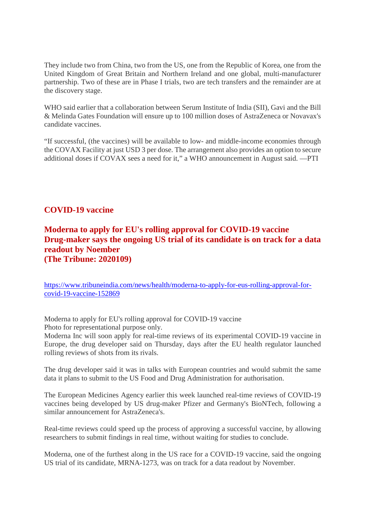They include two from China, two from the US, one from the Republic of Korea, one from the United Kingdom of Great Britain and Northern Ireland and one global, multi-manufacturer partnership. Two of these are in Phase I trials, two are tech transfers and the remainder are at the discovery stage.

WHO said earlier that a collaboration between Serum Institute of India (SII), Gavi and the Bill & Melinda Gates Foundation will ensure up to 100 million doses of AstraZeneca or Novavax's candidate vaccines.

"If successful, (the vaccines) will be available to low- and middle-income economies through the COVAX Facility at just USD 3 per dose. The arrangement also provides an option to secure additional doses if COVAX sees a need for it," a WHO announcement in August said. —PTI

### **COVID-19 vaccine**

### **Moderna to apply for EU's rolling approval for COVID-19 vaccine Drug-maker says the ongoing US trial of its candidate is on track for a data readout by Noember (The Tribune: 2020109)**

https://www.tribuneindia.com/news/health/moderna-to-apply-for-eus-rolling-approval-forcovid-19-vaccine-152869

Moderna to apply for EU's rolling approval for COVID-19 vaccine Photo for representational purpose only.

Moderna Inc will soon apply for real-time reviews of its experimental COVID-19 vaccine in Europe, the drug developer said on Thursday, days after the EU health regulator launched rolling reviews of shots from its rivals.

The drug developer said it was in talks with European countries and would submit the same data it plans to submit to the US Food and Drug Administration for authorisation.

The European Medicines Agency earlier this week launched real-time reviews of COVID-19 vaccines being developed by US drug-maker Pfizer and Germany's BioNTech, following a similar announcement for AstraZeneca's.

Real-time reviews could speed up the process of approving a successful vaccine, by allowing researchers to submit findings in real time, without waiting for studies to conclude.

Moderna, one of the furthest along in the US race for a COVID-19 vaccine, said the ongoing US trial of its candidate, MRNA-1273, was on track for a data readout by November.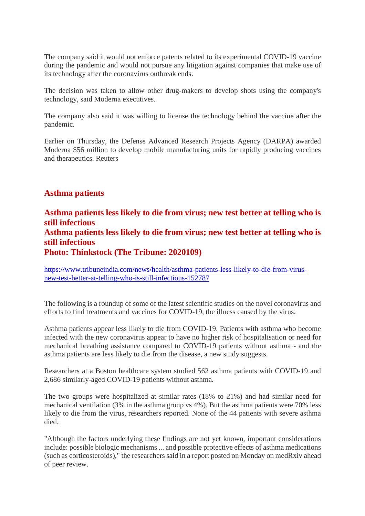The company said it would not enforce patents related to its experimental COVID-19 vaccine during the pandemic and would not pursue any litigation against companies that make use of its technology after the coronavirus outbreak ends.

The decision was taken to allow other drug-makers to develop shots using the company's technology, said Moderna executives.

The company also said it was willing to license the technology behind the vaccine after the pandemic.

Earlier on Thursday, the Defense Advanced Research Projects Agency (DARPA) awarded Moderna \$56 million to develop mobile manufacturing units for rapidly producing vaccines and therapeutics. Reuters

### **Asthma patients**

**Asthma patients less likely to die from virus; new test better at telling who is still infectious Asthma patients less likely to die from virus; new test better at telling who is still infectious Photo: Thinkstock (The Tribune: 2020109)**

https://www.tribuneindia.com/news/health/asthma-patients-less-likely-to-die-from-virusnew-test-better-at-telling-who-is-still-infectious-152787

The following is a roundup of some of the latest scientific studies on the novel coronavirus and efforts to find treatments and vaccines for COVID-19, the illness caused by the virus.

Asthma patients appear less likely to die from COVID-19. Patients with asthma who become infected with the new coronavirus appear to have no higher risk of hospitalisation or need for mechanical breathing assistance compared to COVID-19 patients without asthma - and the asthma patients are less likely to die from the disease, a new study suggests.

Researchers at a Boston healthcare system studied 562 asthma patients with COVID-19 and 2,686 similarly-aged COVID-19 patients without asthma.

The two groups were hospitalized at similar rates (18% to 21%) and had similar need for mechanical ventilation (3% in the asthma group vs 4%). But the asthma patients were 70% less likely to die from the virus, researchers reported. None of the 44 patients with severe asthma died.

"Although the factors underlying these findings are not yet known, important considerations include: possible biologic mechanisms ... and possible protective effects of asthma medications (such as corticosteroids)," the researchers said in a report posted on Monday on medRxiv ahead of peer review.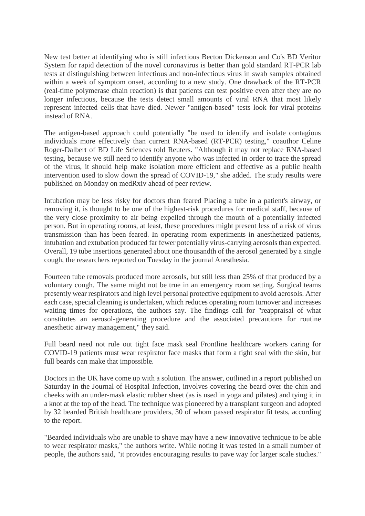New test better at identifying who is still infectious Becton Dickenson and Co's BD Veritor System for rapid detection of the novel coronavirus is better than gold standard RT-PCR lab tests at distinguishing between infectious and non-infectious virus in swab samples obtained within a week of symptom onset, according to a new study. One drawback of the RT-PCR (real-time polymerase chain reaction) is that patients can test positive even after they are no longer infectious, because the tests detect small amounts of viral RNA that most likely represent infected cells that have died. Newer "antigen-based" tests look for viral proteins instead of RNA.

The antigen-based approach could potentially "be used to identify and isolate contagious individuals more effectively than current RNA-based (RT-PCR) testing," coauthor Celine Roger-Dalbert of BD Life Sciences told Reuters. "Although it may not replace RNA-based testing, because we still need to identify anyone who was infected in order to trace the spread of the virus, it should help make isolation more efficient and effective as a public health intervention used to slow down the spread of COVID-19," she added. The study results were published on Monday on medRxiv ahead of peer review.

Intubation may be less risky for doctors than feared Placing a tube in a patient's airway, or removing it, is thought to be one of the highest-risk procedures for medical staff, because of the very close proximity to air being expelled through the mouth of a potentially infected person. But in operating rooms, at least, these procedures might present less of a risk of virus transmission than has been feared. In operating room experiments in anesthetized patients, intubation and extubation produced far fewer potentially virus-carrying aerosols than expected. Overall, 19 tube insertions generated about one thousandth of the aerosol generated by a single cough, the researchers reported on Tuesday in the journal Anesthesia.

Fourteen tube removals produced more aerosols, but still less than 25% of that produced by a voluntary cough. The same might not be true in an emergency room setting. Surgical teams presently wear respirators and high level personal protective equipment to avoid aerosols. After each case, special cleaning is undertaken, which reduces operating room turnover and increases waiting times for operations, the authors say. The findings call for "reappraisal of what constitutes an aerosol-generating procedure and the associated precautions for routine anesthetic airway management," they said.

Full beard need not rule out tight face mask seal Frontline healthcare workers caring for COVID-19 patients must wear respirator face masks that form a tight seal with the skin, but full beards can make that impossible.

Doctors in the UK have come up with a solution. The answer, outlined in a report published on Saturday in the Journal of Hospital Infection, involves covering the beard over the chin and cheeks with an under-mask elastic rubber sheet (as is used in yoga and pilates) and tying it in a knot at the top of the head. The technique was pioneered by a transplant surgeon and adopted by 32 bearded British healthcare providers, 30 of whom passed respirator fit tests, according to the report.

"Bearded individuals who are unable to shave may have a new innovative technique to be able to wear respirator masks," the authors write. While noting it was tested in a small number of people, the authors said, "it provides encouraging results to pave way for larger scale studies."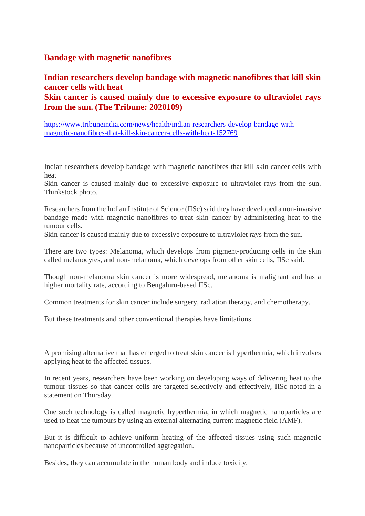### **Bandage with magnetic nanofibres**

### **Indian researchers develop bandage with magnetic nanofibres that kill skin cancer cells with heat**

**Skin cancer is caused mainly due to excessive exposure to ultraviolet rays from the sun. (The Tribune: 2020109)**

https://www.tribuneindia.com/news/health/indian-researchers-develop-bandage-withmagnetic-nanofibres-that-kill-skin-cancer-cells-with-heat-152769

Indian researchers develop bandage with magnetic nanofibres that kill skin cancer cells with heat

Skin cancer is caused mainly due to excessive exposure to ultraviolet rays from the sun. Thinkstock photo.

Researchers from the Indian Institute of Science (IISc) said they have developed a non-invasive bandage made with magnetic nanofibres to treat skin cancer by administering heat to the tumour cells.

Skin cancer is caused mainly due to excessive exposure to ultraviolet rays from the sun.

There are two types: Melanoma, which develops from pigment-producing cells in the skin called melanocytes, and non-melanoma, which develops from other skin cells, IISc said.

Though non-melanoma skin cancer is more widespread, melanoma is malignant and has a higher mortality rate, according to Bengaluru-based IISc.

Common treatments for skin cancer include surgery, radiation therapy, and chemotherapy.

But these treatments and other conventional therapies have limitations.

A promising alternative that has emerged to treat skin cancer is hyperthermia, which involves applying heat to the affected tissues.

In recent years, researchers have been working on developing ways of delivering heat to the tumour tissues so that cancer cells are targeted selectively and effectively, IISc noted in a statement on Thursday.

One such technology is called magnetic hyperthermia, in which magnetic nanoparticles are used to heat the tumours by using an external alternating current magnetic field (AMF).

But it is difficult to achieve uniform heating of the affected tissues using such magnetic nanoparticles because of uncontrolled aggregation.

Besides, they can accumulate in the human body and induce toxicity.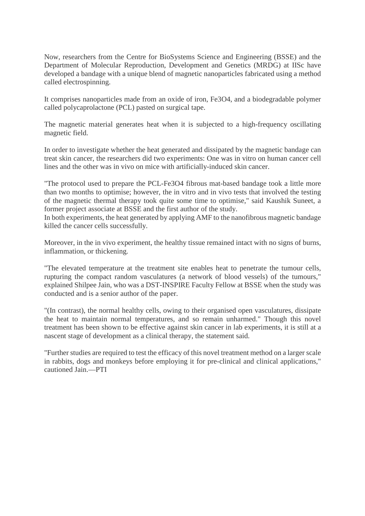Now, researchers from the Centre for BioSystems Science and Engineering (BSSE) and the Department of Molecular Reproduction, Development and Genetics (MRDG) at IISc have developed a bandage with a unique blend of magnetic nanoparticles fabricated using a method called electrospinning.

It comprises nanoparticles made from an oxide of iron, Fe3O4, and a biodegradable polymer called polycaprolactone (PCL) pasted on surgical tape.

The magnetic material generates heat when it is subjected to a high-frequency oscillating magnetic field.

In order to investigate whether the heat generated and dissipated by the magnetic bandage can treat skin cancer, the researchers did two experiments: One was in vitro on human cancer cell lines and the other was in vivo on mice with artificially-induced skin cancer.

"The protocol used to prepare the PCL-Fe3O4 fibrous mat-based bandage took a little more than two months to optimise; however, the in vitro and in vivo tests that involved the testing of the magnetic thermal therapy took quite some time to optimise," said Kaushik Suneet, a former project associate at BSSE and the first author of the study.

In both experiments, the heat generated by applying AMF to the nanofibrous magnetic bandage killed the cancer cells successfully.

Moreover, in the in vivo experiment, the healthy tissue remained intact with no signs of burns, inflammation, or thickening.

"The elevated temperature at the treatment site enables heat to penetrate the tumour cells, rupturing the compact random vasculatures (a network of blood vessels) of the tumours," explained Shilpee Jain, who was a DST-INSPIRE Faculty Fellow at BSSE when the study was conducted and is a senior author of the paper.

"(In contrast), the normal healthy cells, owing to their organised open vasculatures, dissipate the heat to maintain normal temperatures, and so remain unharmed." Though this novel treatment has been shown to be effective against skin cancer in lab experiments, it is still at a nascent stage of development as a clinical therapy, the statement said.

"Further studies are required to test the efficacy of this novel treatment method on a larger scale in rabbits, dogs and monkeys before employing it for pre-clinical and clinical applications," cautioned Jain.—PTI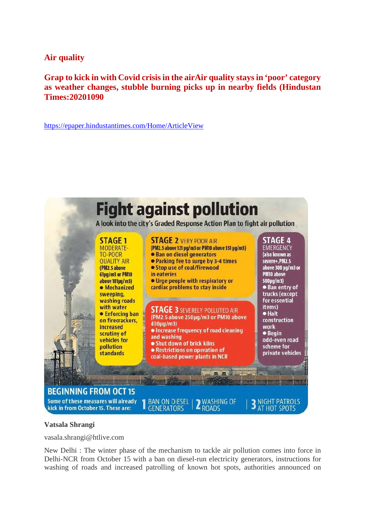**Air quality**

**Grap to kick in with Covid crisis in the airAir quality stays in 'poor' category as weather changes, stubble burning picks up in nearby fields (Hindustan Times:20201090**

https://epaper.hindustantimes.com/Home/ArticleView



#### **Vatsala Shrangi**

vasala.shrangi@htlive.com

New Delhi : The winter phase of the mechanism to tackle air pollution comes into force in Delhi-NCR from October 15 with a ban on diesel-run electricity generators, instructions for washing of roads and increased patrolling of known hot spots, authorities announced on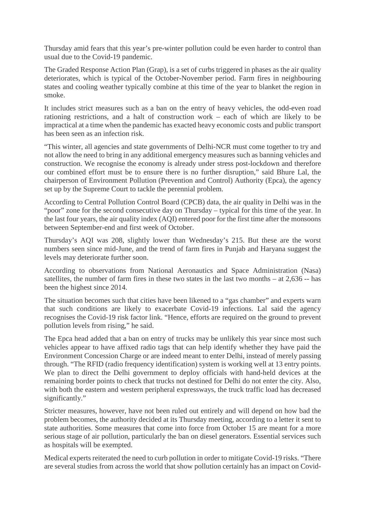Thursday amid fears that this year's pre-winter pollution could be even harder to control than usual due to the Covid-19 pandemic.

The Graded Response Action Plan (Grap), is a set of curbs triggered in phases as the air quality deteriorates, which is typical of the October-November period. Farm fires in neighbouring states and cooling weather typically combine at this time of the year to blanket the region in smoke.

It includes strict measures such as a ban on the entry of heavy vehicles, the odd-even road rationing restrictions, and a halt of construction work – each of which are likely to be impractical at a time when the pandemic has exacted heavy economic costs and public transport has been seen as an infection risk.

"This winter, all agencies and state governments of Delhi-NCR must come together to try and not allow the need to bring in any additional emergency measures such as banning vehicles and construction. We recognise the economy is already under stress post-lockdown and therefore our combined effort must be to ensure there is no further disruption," said Bhure Lal, the chairperson of Environment Pollution (Prevention and Control) Authority (Epca), the agency set up by the Supreme Court to tackle the perennial problem.

According to Central Pollution Control Board (CPCB) data, the air quality in Delhi was in the "poor" zone for the second consecutive day on Thursday – typical for this time of the year. In the last four years, the air quality index (AQI) entered poor for the first time after the monsoons between September-end and first week of October.

Thursday's AQI was 208, slightly lower than Wednesday's 215. But these are the worst numbers seen since mid-June, and the trend of farm fires in Punjab and Haryana suggest the levels may deteriorate further soon.

According to observations from National Aeronautics and Space Administration (Nasa) satellites, the number of farm fires in these two states in the last two months – at 2,636 -- has been the highest since 2014.

The situation becomes such that cities have been likened to a "gas chamber" and experts warn that such conditions are likely to exacerbate Covid-19 infections. Lal said the agency recognises the Covid-19 risk factor link. "Hence, efforts are required on the ground to prevent pollution levels from rising," he said.

The Epca head added that a ban on entry of trucks may be unlikely this year since most such vehicles appear to have affixed radio tags that can help identify whether they have paid the Environment Concession Charge or are indeed meant to enter Delhi, instead of merely passing through. "The RFID (radio frequency identification) system is working well at 13 entry points. We plan to direct the Delhi government to deploy officials with hand-held devices at the remaining border points to check that trucks not destined for Delhi do not enter the city. Also, with both the eastern and western peripheral expressways, the truck traffic load has decreased significantly."

Stricter measures, however, have not been ruled out entirely and will depend on how bad the problem becomes, the authority decided at its Thursday meeting, according to a letter it sent to state authorities. Some measures that come into force from October 15 are meant for a more serious stage of air pollution, particularly the ban on diesel generators. Essential services such as hospitals will be exempted.

Medical experts reiterated the need to curb pollution in order to mitigate Covid-19 risks. "There are several studies from across the world that show pollution certainly has an impact on Covid-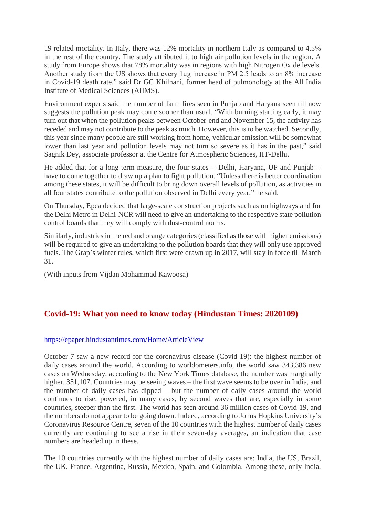19 related mortality. In Italy, there was 12% mortality in northern Italy as compared to 4.5% in the rest of the country. The study attributed it to high air pollution levels in the region. A study from Europe shows that 78% mortality was in regions with high Nitrogen Oxide levels. Another study from the US shows that every 1μg increase in PM 2.5 leads to an 8% increase in Covid-19 death rate," said Dr GC Khilnani, former head of pulmonology at the All India Institute of Medical Sciences (AIIMS).

Environment experts said the number of farm fires seen in Punjab and Haryana seen till now suggests the pollution peak may come sooner than usual. "With burning starting early, it may turn out that when the pollution peaks between October-end and November 15, the activity has receded and may not contribute to the peak as much. However, this is to be watched. Secondly, this year since many people are still working from home, vehicular emission will be somewhat lower than last year and pollution levels may not turn so severe as it has in the past," said Sagnik Dey, associate professor at the Centre for Atmospheric Sciences, IIT-Delhi.

He added that for a long-term measure, the four states -- Delhi, Haryana, UP and Punjab - have to come together to draw up a plan to fight pollution. "Unless there is better coordination among these states, it will be difficult to bring down overall levels of pollution, as activities in all four states contribute to the pollution observed in Delhi every year," he said.

On Thursday, Epca decided that large-scale construction projects such as on highways and for the Delhi Metro in Delhi-NCR will need to give an undertaking to the respective state pollution control boards that they will comply with dust-control norms.

Similarly, industries in the red and orange categories (classified as those with higher emissions) will be required to give an undertaking to the pollution boards that they will only use approved fuels. The Grap's winter rules, which first were drawn up in 2017, will stay in force till March 31.

(With inputs from Vijdan Mohammad Kawoosa)

### **Covid-19: What you need to know today (Hindustan Times: 2020109)**

#### https://epaper.hindustantimes.com/Home/ArticleView

October 7 saw a new record for the coronavirus disease (Covid-19): the highest number of daily cases around the world. According to worldometers.info, the world saw 343,386 new cases on Wednesday; according to the New York Times database, the number was marginally higher, 351,107. Countries may be seeing waves – the first wave seems to be over in India, and the number of daily cases has dipped – but the number of daily cases around the world continues to rise, powered, in many cases, by second waves that are, especially in some countries, steeper than the first. The world has seen around 36 million cases of Covid-19, and the numbers do not appear to be going down. Indeed, according to Johns Hopkins University's Coronavirus Resource Centre, seven of the 10 countries with the highest number of daily cases currently are continuing to see a rise in their seven-day averages, an indication that case numbers are headed up in these.

The 10 countries currently with the highest number of daily cases are: India, the US, Brazil, the UK, France, Argentina, Russia, Mexico, Spain, and Colombia. Among these, only India,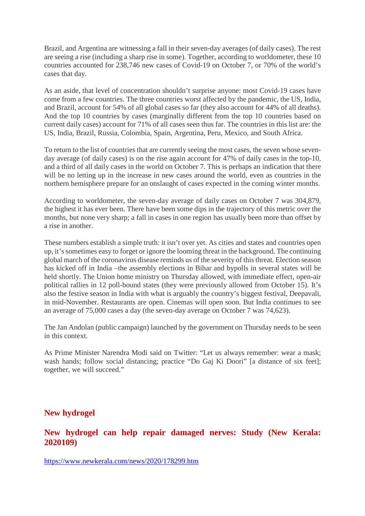Brazil, and Argentina are witnessing a fall in their seven-day averages (of daily cases). The rest are seeing a rise (including a sharp rise in some). Together, according to worldometer, these 10 countries accounted for 238,746 new cases of Covid-19 on October 7, or 70% of the world's cases that day.

As an aside, that level of concentration shouldn't surprise anyone: most Covid-19 cases have come from a few countries. The three countries worst affected by the pandemic, the US, India, and Brazil, account for 54% of all global cases so far (they also account for 44% of all deaths). And the top 10 countries by cases (marginally different from the top 10 countries based on current daily cases) account for 71% of all cases seen thus far. The countries in this list are: the US, India, Brazil, Russia, Colombia, Spain, Argentina, Peru, Mexico, and South Africa.

To return to the list of countries that are currently seeing the most cases, the seven whose sevenday average (of daily cases) is on the rise again account for 47% of daily cases in the top-10, and a third of all daily cases in the world on October 7. This is perhaps an indication that there will be no letting up in the increase in new cases around the world, even as countries in the northern hemisphere prepare for an onslaught of cases expected in the coming winter months.

According to worldometer, the seven-day average of daily cases on October 7 was 304,879, the highest it has ever been. There have been some dips in the trajectory of this metric over the months, but none very sharp; a fall in cases in one region has usually been more than offset by a rise in another.

These numbers establish a simple truth: it isn't over yet. As cities and states and countries open up, it's sometimes easy to forget or ignore the looming threat in the background. The continuing global march of the coronavirus disease reminds us of the severity of this threat. Election season has kicked off in India –the assembly elections in Bihar and bypolls in several states will be held shortly. The Union home ministry on Thursday allowed, with immediate effect, open-air political rallies in 12 poll-bound states (they were previously allowed from October 15). It's also the festive season in India with what is arguably the country's biggest festival, Deepavali, in mid-November. Restaurants are open. Cinemas will open soon. But India continues to see an average of 75,000 cases a day (the seven-day average on October 7 was 74,623).

The Jan Andolan (public campaign) launched by the government on Thursday needs to be seen in this context.

As Prime Minister Narendra Modi said on Twitter: "Let us always remember: wear a mask; wash hands; follow social distancing; practice "Do Gaj Ki Doori" [a distance of six feet]; together, we will succeed."

### **New hydrogel**

**New hydrogel can help repair damaged nerves: Study (New Kerala: 2020109)**

https://www.newkerala.com/news/2020/178299.htm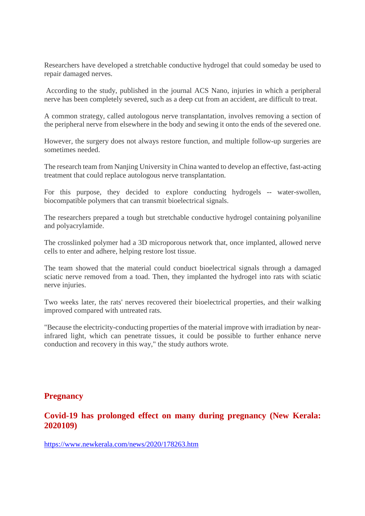Researchers have developed a stretchable conductive hydrogel that could someday be used to repair damaged nerves.

According to the study, published in the journal ACS Nano, injuries in which a peripheral nerve has been completely severed, such as a deep cut from an accident, are difficult to treat.

A common strategy, called autologous nerve transplantation, involves removing a section of the peripheral nerve from elsewhere in the body and sewing it onto the ends of the severed one.

However, the surgery does not always restore function, and multiple follow-up surgeries are sometimes needed.

The research team from Nanjing University in China wanted to develop an effective, fast-acting treatment that could replace autologous nerve transplantation.

For this purpose, they decided to explore conducting hydrogels -- water-swollen, biocompatible polymers that can transmit bioelectrical signals.

The researchers prepared a tough but stretchable conductive hydrogel containing polyaniline and polyacrylamide.

The crosslinked polymer had a 3D microporous network that, once implanted, allowed nerve cells to enter and adhere, helping restore lost tissue.

The team showed that the material could conduct bioelectrical signals through a damaged sciatic nerve removed from a toad. Then, they implanted the hydrogel into rats with sciatic nerve injuries.

Two weeks later, the rats' nerves recovered their bioelectrical properties, and their walking improved compared with untreated rats.

"Because the electricity-conducting properties of the material improve with irradiation by nearinfrared light, which can penetrate tissues, it could be possible to further enhance nerve conduction and recovery in this way," the study authors wrote.

### **Pregnancy**

### **Covid-19 has prolonged effect on many during pregnancy (New Kerala: 2020109)**

https://www.newkerala.com/news/2020/178263.htm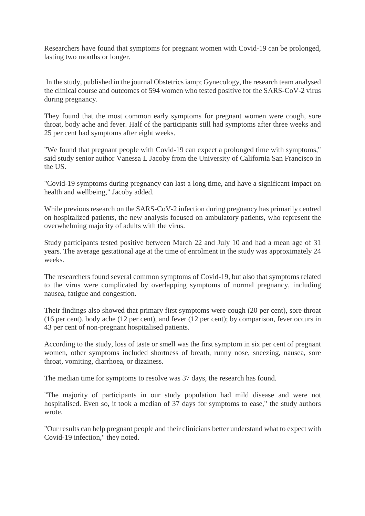Researchers have found that symptoms for pregnant women with Covid-19 can be prolonged, lasting two months or longer.

In the study, published in the journal Obstetrics iamp; Gynecology, the research team analysed the clinical course and outcomes of 594 women who tested positive for the SARS-CoV-2 virus during pregnancy.

They found that the most common early symptoms for pregnant women were cough, sore throat, body ache and fever. Half of the participants still had symptoms after three weeks and 25 per cent had symptoms after eight weeks.

"We found that pregnant people with Covid-19 can expect a prolonged time with symptoms," said study senior author Vanessa L Jacoby from the University of California San Francisco in the US.

"Covid-19 symptoms during pregnancy can last a long time, and have a significant impact on health and wellbeing," Jacoby added.

While previous research on the SARS-CoV-2 infection during pregnancy has primarily centred on hospitalized patients, the new analysis focused on ambulatory patients, who represent the overwhelming majority of adults with the virus.

Study participants tested positive between March 22 and July 10 and had a mean age of 31 years. The average gestational age at the time of enrolment in the study was approximately 24 weeks.

The researchers found several common symptoms of Covid-19, but also that symptoms related to the virus were complicated by overlapping symptoms of normal pregnancy, including nausea, fatigue and congestion.

Their findings also showed that primary first symptoms were cough (20 per cent), sore throat (16 per cent), body ache (12 per cent), and fever (12 per cent); by comparison, fever occurs in 43 per cent of non-pregnant hospitalised patients.

According to the study, loss of taste or smell was the first symptom in six per cent of pregnant women, other symptoms included shortness of breath, runny nose, sneezing, nausea, sore throat, vomiting, diarrhoea, or dizziness.

The median time for symptoms to resolve was 37 days, the research has found.

"The majority of participants in our study population had mild disease and were not hospitalised. Even so, it took a median of 37 days for symptoms to ease," the study authors wrote.

"Our results can help pregnant people and their clinicians better understand what to expect with Covid-19 infection," they noted.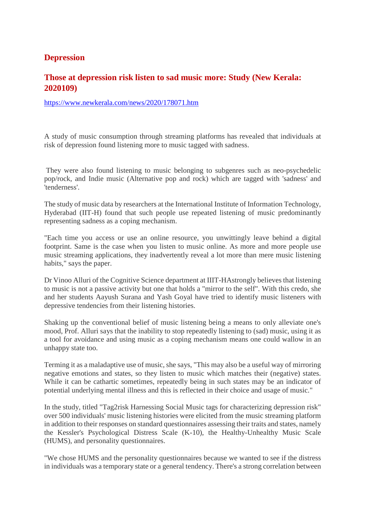### **Depression**

### **Those at depression risk listen to sad music more: Study (New Kerala: 2020109)**

https://www.newkerala.com/news/2020/178071.htm

A study of music consumption through streaming platforms has revealed that individuals at risk of depression found listening more to music tagged with sadness.

They were also found listening to music belonging to subgenres such as neo-psychedelic pop/rock, and Indie music (Alternative pop and rock) which are tagged with 'sadness' and 'tenderness'.

The study of music data by researchers at the International Institute of Information Technology, Hyderabad (IIT-H) found that such people use repeated listening of music predominantly representing sadness as a coping mechanism.

"Each time you access or use an online resource, you unwittingly leave behind a digital footprint. Same is the case when you listen to music online. As more and more people use music streaming applications, they inadvertently reveal a lot more than mere music listening habits," says the paper.

Dr Vinoo Alluri of the Cognitive Science department at IIIT-HAstrongly believes that listening to music is not a passive activity but one that holds a "mirror to the self". With this credo, she and her students Aayush Surana and Yash Goyal have tried to identify music listeners with depressive tendencies from their listening histories.

Shaking up the conventional belief of music listening being a means to only alleviate one's mood, Prof. Alluri says that the inability to stop repeatedly listening to (sad) music, using it as a tool for avoidance and using music as a coping mechanism means one could wallow in an unhappy state too.

Terming it as a maladaptive use of music, she says, "This may also be a useful way of mirroring negative emotions and states, so they listen to music which matches their (negative) states. While it can be cathartic sometimes, repeatedly being in such states may be an indicator of potential underlying mental illness and this is reflected in their choice and usage of music."

In the study, titled "Tag2risk Harnessing Social Music tags for characterizing depression risk" over 500 individuals' music listening histories were elicited from the music streaming platform in addition to their responses on standard questionnaires assessing their traits and states, namely the Kessler's Psychological Distress Scale (K-10), the Healthy-Unhealthy Music Scale (HUMS), and personality questionnaires.

"We chose HUMS and the personality questionnaires because we wanted to see if the distress in individuals was a temporary state or a general tendency. There's a strong correlation between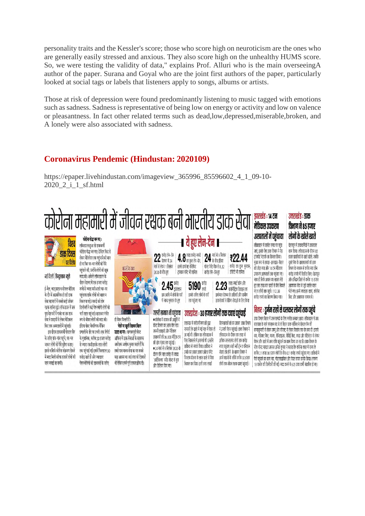personality traits and the Kessler's score; those who score high on neuroticism are the ones who are generally easily stressed and anxious. They also score high on the unhealthy HUMS score. So, we were testing the validity of data," explains Prof. Alluri who is the main overseeingA author of the paper. Surana and Goyal who are the joint first authors of the paper, particularly looked at social tags or labels that listeners apply to songs, albums or artists.

Those at risk of depression were found predominantly listening to music tagged with emotions such as sadness. Sadness is representative of being low on energy or activity and low on valence or pleasantness. In fact other related terms such as dead,low,depressed,miserable,broken, and A lonely were also associated with sadness.

### **Coronavirus Pendemic (Hindustan: 2020109)**

https://epaper.livehindustan.com/imageview\_365996\_85596602\_4\_1\_09-10- 2020\_2\_i\_1\_sf.html

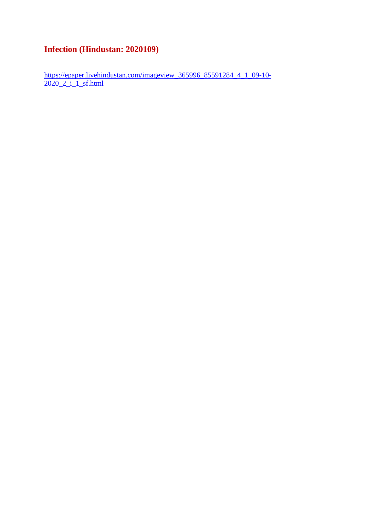### **Infection (Hindustan: 2020109)**

https://epaper.livehindustan.com/imageview\_365996\_85591284\_4\_1\_09-10-2020\_2\_i\_1\_sf.html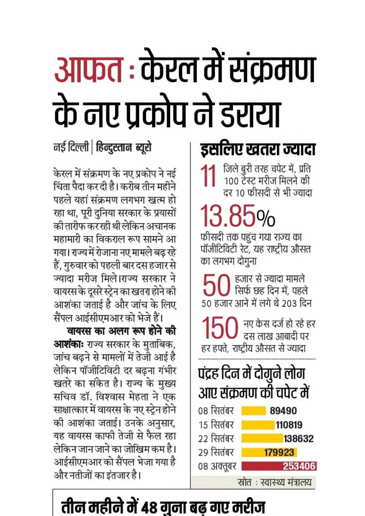## आफत : केरल में संक्रमण के नए प्रकोप ने डराया

नई दिल्ली हिन्दुस्तान ब्यूरो

केरल में संक्रमण के नए प्रकोप ने नई चिंता पैदा कर दी है। करीब तीन महीने पहले यहां संक्रमण लगभग खत्म हो रहा था, पूरी दुनिया सरकार के प्रयासों की तारीफ कर रही थी लेकिन अचानक महामारी का विकराल रूप सामने आ गया। राज्य में रोजाना नए मामले बढ़ रहे हैं, गुरुवार को पहली बार दस हजार से ज्यादा मरीज मिले।राज्य सरकार ने वायरस के दूसरे स्ट्रेन का खतरा होने की आशंका जताई है और जांच के लिए सैंपल आईसीएमआर को भेजे हैं।

वायरस का अलग रूप होने की **आशंकाः** राज्य सरकार के मुताबिक, जांच बढ़ने से मामलों में तेजी आई है लेकिन पॉजीटिविटी दर बढ़ना गंभीर खतरे का संकेत है। राज्य के मुख्य सचिव डॉ. विश्वास मेहता ने एक साक्षात्कार में वायरस के नए स्ट्रेन होने की आशंका जताई। उनके अनुसार, यह वायरस काफी तेजी से फैल रहा लेकिन जान जाने का जोखिम कम है। आईसीएमआर को सैंपल भेजा गया है और नतीजों का इंतजार है।

## इसलिए खतरा ज्यादा

जिले बुरी तरह चपेट में, प्रति<br>100 टेस्ट मरीज मिलने की दर 10 फीसदी से भी ज्यादा

## 13.85%

फीसदी तक पहुंच गया राज्य का पॉजीटिविटी रेट, यह राष्ट्रीय औसत का लगभग दोगुना

हजार से ज्यादा मामले सिर्फ छह दिन में, पहले 50 हजार आने में लगे थे 203 दिन

नए केस दर्ज हो रहे हर दस लाख आबादी पर हर हफ्ते, राष्ट्रीय औसत से ज्यादा

| पट्रह दिन में दोगुने लोग<br>आए संक्रमण की चपेट में |        |
|----------------------------------------------------|--------|
| 08 सितंबर                                          | 89490  |
| 15 सितंबर                                          | 110819 |
| २२ सितंबर                                          | 138632 |

| <b>SPDF71 77</b> | 130032 |
|------------------|--------|
| 29 सितंबर        | 179923 |
| ०८ अक्तूबर       | 253406 |

स्रोत: स्वास्थ्य मंत्रालय

## तीन महीने में 48 गुना बढ़ गए मरीज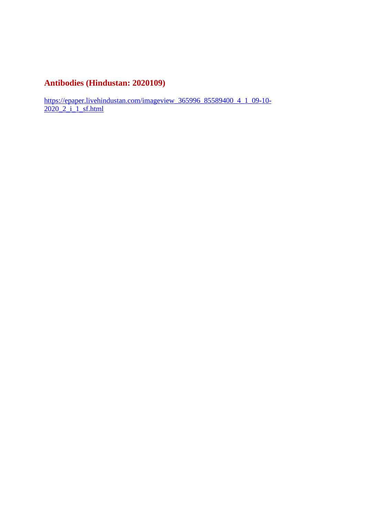### **Antibodies (Hindustan: 2020109)**

https://epaper.livehindustan.com/imageview\_365996\_85589400\_4\_1\_09-10-2020\_2\_i\_1\_sf.html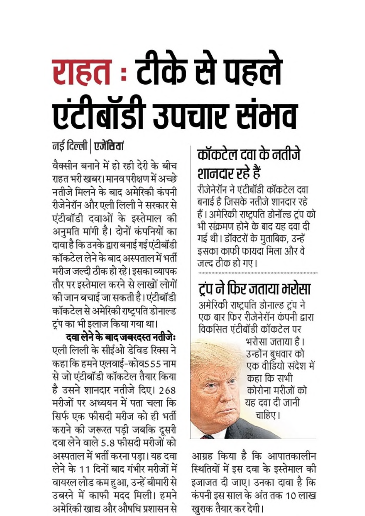## राहत : टीके से पहले एंटीबॉडी उपचार संभव

### नई दिल्ली | एजेंसियां

वैक्सीन बनाने में हो रही देरी के बीच राहत भरी खबर। मानव परीक्षण में अच्छे नतीजे मिलने के बाद अमेरिकी कंपनी रीजेनेरॉन और एली लिली ने सरकार से एंटीबॉडी दवाओं के इस्तेमाल की अनुमति मांगी है। दोनों कंपनियों का दावा है कि उनके द्वारा बनाई गई एंटीबॉडी कॉकटेल लेने के बाद अस्पताल में भर्ती मरीज जल्दी ठीक हो रहे। इसका व्यापक तौर पर इस्तेमाल करने से लाखों लोगों की जान बचाई जा सकती है। एंटीबॉडी कॉकटेल से अमेरिकी राष्ट्रपति डोनाल्ड ट्रंप का भी इलाज किया गया था।

### दवा लेने के बाद जबरदस्त नतीजे:

एली लिली के सीईओ डेविड रिक्स ने कहा कि हमने एलवाई-कोव555 नाम से जो एंटीबॉडी कॉकटेल तैयार किया है उसने शानदार नतीजे दिए। 268 मरीजों पर अध्ययन में पता चला कि सिर्फ एक फीसदी मरीज को ही भर्ती कराने की जरूरत पड़ी जबकि दूसरी दवा लेने वाले 5.8 फीसदी मरीजों को अस्पताल में भर्ती करना पड़ा। यह दवा लेने के 11 दिनों बाद गंभीर मरीजों में वायरल लोड कम हुआ, उन्हें बीमारी से उबरने में काफी मदद मिली। हमने अमेरिकी खाद्य और औषधि प्रशासन से

### कॉकटेल दवा के नतीजे शानदार रहे हैं

रीजेनेरॉन ने एंटीबॉडी कॉकटेल दवा बनाई है जिसके नतीजे शानदार रहे हैं। अमेरिकी राष्ट्रपति डोनॉल्ड ट्रंप को भी संक्रमण होने के बाद यह दवा दी गई थी। डॉक्टरों के मुताबिक, उन्हें इसका काफी फायदा मिला और वे जल्द ठीक हो गए।

## ट्रंप ने फिर जताया भरोसा

अमेरिकी राष्ट्रपति डोनाल्ड ट्रंप ने एक बार फिर रीजेनेरॉन कंपनी द्वारा विकसित एंटीबॉडी कॉकटेल पर भरोसा जताया है। उन्होंन बुधवार को एक वीडियो संदेश में कहा कि सभी कोरोना मरीजों को यह दवा दी जानी चाहिए।

आग्रह किया है कि आपातकालीन स्थितियों में इस दवा के इस्तेमाल की इजाजत दी जाए। उनका दावा है कि कंपनी इस साल के अंत तक 10 लाख खुराक तैयार कर देगी।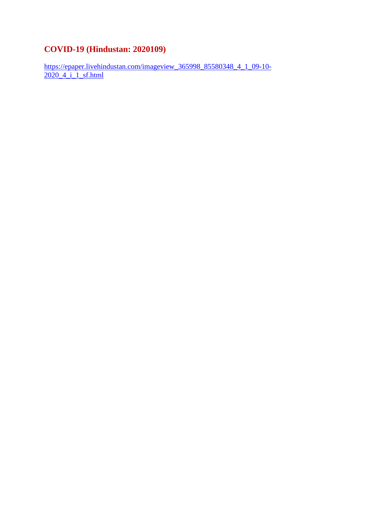### **COVID-19 (Hindustan: 2020109)**

https://epaper.livehindustan.com/imageview\_365998\_85580348\_4\_1\_09-10-2020\_4\_i\_1\_sf.html